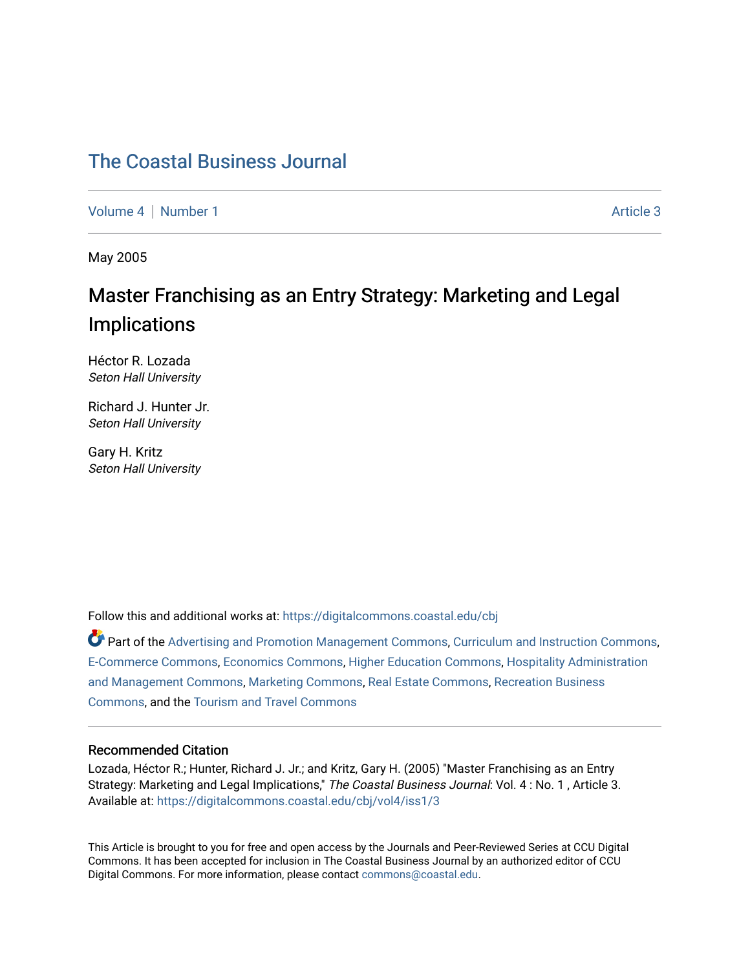# [The Coastal Business Journal](https://digitalcommons.coastal.edu/cbj)

[Volume 4](https://digitalcommons.coastal.edu/cbj/vol4) | [Number 1](https://digitalcommons.coastal.edu/cbj/vol4/iss1) Article 3

May 2005

# Master Franchising as an Entry Strategy: Marketing and Legal Implications

Héctor R. Lozada Seton Hall University

Richard J. Hunter Jr. Seton Hall University

Gary H. Kritz Seton Hall University

Follow this and additional works at: [https://digitalcommons.coastal.edu/cbj](https://digitalcommons.coastal.edu/cbj?utm_source=digitalcommons.coastal.edu%2Fcbj%2Fvol4%2Fiss1%2F3&utm_medium=PDF&utm_campaign=PDFCoverPages) 

Part of the [Advertising and Promotion Management Commons,](http://network.bepress.com/hgg/discipline/626?utm_source=digitalcommons.coastal.edu%2Fcbj%2Fvol4%2Fiss1%2F3&utm_medium=PDF&utm_campaign=PDFCoverPages) [Curriculum and Instruction Commons,](http://network.bepress.com/hgg/discipline/786?utm_source=digitalcommons.coastal.edu%2Fcbj%2Fvol4%2Fiss1%2F3&utm_medium=PDF&utm_campaign=PDFCoverPages) [E-Commerce Commons,](http://network.bepress.com/hgg/discipline/624?utm_source=digitalcommons.coastal.edu%2Fcbj%2Fvol4%2Fiss1%2F3&utm_medium=PDF&utm_campaign=PDFCoverPages) [Economics Commons](http://network.bepress.com/hgg/discipline/340?utm_source=digitalcommons.coastal.edu%2Fcbj%2Fvol4%2Fiss1%2F3&utm_medium=PDF&utm_campaign=PDFCoverPages), [Higher Education Commons](http://network.bepress.com/hgg/discipline/1245?utm_source=digitalcommons.coastal.edu%2Fcbj%2Fvol4%2Fiss1%2F3&utm_medium=PDF&utm_campaign=PDFCoverPages), [Hospitality Administration](http://network.bepress.com/hgg/discipline/632?utm_source=digitalcommons.coastal.edu%2Fcbj%2Fvol4%2Fiss1%2F3&utm_medium=PDF&utm_campaign=PDFCoverPages) [and Management Commons,](http://network.bepress.com/hgg/discipline/632?utm_source=digitalcommons.coastal.edu%2Fcbj%2Fvol4%2Fiss1%2F3&utm_medium=PDF&utm_campaign=PDFCoverPages) [Marketing Commons](http://network.bepress.com/hgg/discipline/638?utm_source=digitalcommons.coastal.edu%2Fcbj%2Fvol4%2Fiss1%2F3&utm_medium=PDF&utm_campaign=PDFCoverPages), [Real Estate Commons](http://network.bepress.com/hgg/discipline/641?utm_source=digitalcommons.coastal.edu%2Fcbj%2Fvol4%2Fiss1%2F3&utm_medium=PDF&utm_campaign=PDFCoverPages), [Recreation Business](http://network.bepress.com/hgg/discipline/1083?utm_source=digitalcommons.coastal.edu%2Fcbj%2Fvol4%2Fiss1%2F3&utm_medium=PDF&utm_campaign=PDFCoverPages) [Commons](http://network.bepress.com/hgg/discipline/1083?utm_source=digitalcommons.coastal.edu%2Fcbj%2Fvol4%2Fiss1%2F3&utm_medium=PDF&utm_campaign=PDFCoverPages), and the [Tourism and Travel Commons](http://network.bepress.com/hgg/discipline/1082?utm_source=digitalcommons.coastal.edu%2Fcbj%2Fvol4%2Fiss1%2F3&utm_medium=PDF&utm_campaign=PDFCoverPages)

#### Recommended Citation

Lozada, Héctor R.; Hunter, Richard J. Jr.; and Kritz, Gary H. (2005) "Master Franchising as an Entry Strategy: Marketing and Legal Implications," The Coastal Business Journal: Vol. 4: No. 1, Article 3. Available at: [https://digitalcommons.coastal.edu/cbj/vol4/iss1/3](https://digitalcommons.coastal.edu/cbj/vol4/iss1/3?utm_source=digitalcommons.coastal.edu%2Fcbj%2Fvol4%2Fiss1%2F3&utm_medium=PDF&utm_campaign=PDFCoverPages)

This Article is brought to you for free and open access by the Journals and Peer-Reviewed Series at CCU Digital Commons. It has been accepted for inclusion in The Coastal Business Journal by an authorized editor of CCU Digital Commons. For more information, please contact [commons@coastal.edu](mailto:commons@coastal.edu).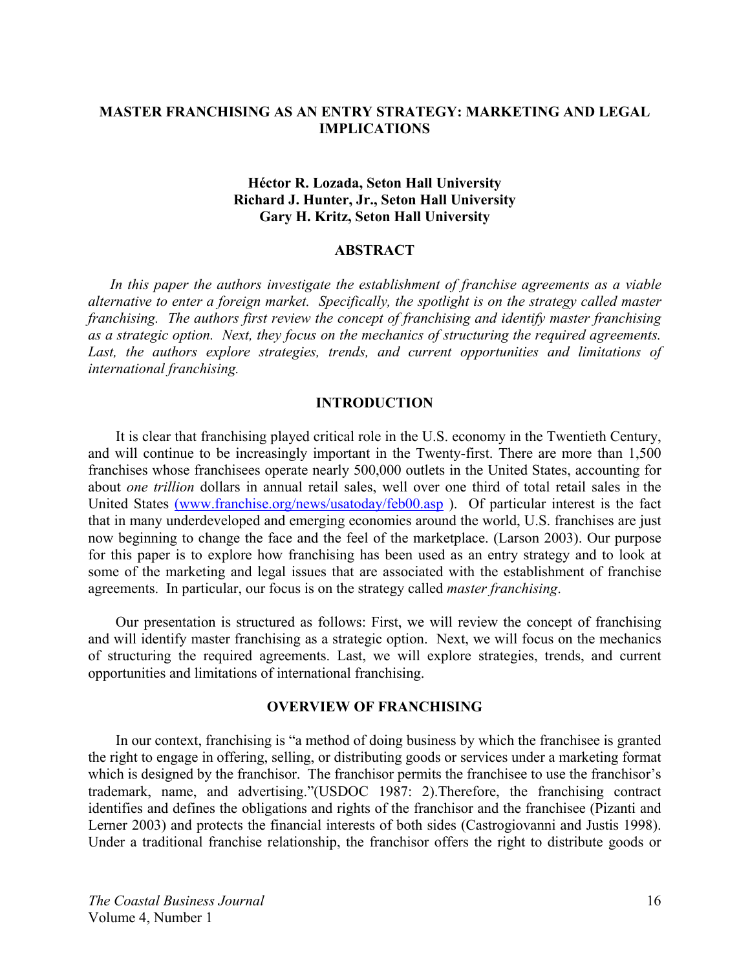# **MASTER FRANCHISING AS AN ENTRY STRATEGY: MARKETING AND LEGAL IMPLICATIONS**

# **Héctor R. Lozada, Seton Hall University Richard J. Hunter, Jr., Seton Hall University Gary H. Kritz, Seton Hall University**

## **ABSTRACT**

 *In this paper the authors investigate the establishment of franchise agreements as a viable alternative to enter a foreign market. Specifically, the spotlight is on the strategy called master franchising. The authors first review the concept of franchising and identify master franchising as a strategic option. Next, they focus on the mechanics of structuring the required agreements.*  Last, the authors explore strategies, trends, and current opportunities and limitations of *international franchising.* 

#### **INTRODUCTION**

It is clear that franchising played critical role in the U.S. economy in the Twentieth Century, and will continue to be increasingly important in the Twenty-first. There are more than 1,500 franchises whose franchisees operate nearly 500,000 outlets in the United States, accounting for about *one trillion* dollars in annual retail sales, well over one third of total retail sales in the United States (www.franchise.org/news/usatoday/feb00.asp). Of particular interest is the fact that in many underdeveloped and emerging economies around the world, U.S. franchises are just now beginning to change the face and the feel of the marketplace. (Larson 2003). Our purpose for this paper is to explore how franchising has been used as an entry strategy and to look at some of the marketing and legal issues that are associated with the establishment of franchise agreements. In particular, our focus is on the strategy called *master franchising*.

Our presentation is structured as follows: First, we will review the concept of franchising and will identify master franchising as a strategic option. Next, we will focus on the mechanics of structuring the required agreements. Last, we will explore strategies, trends, and current opportunities and limitations of international franchising.

#### **OVERVIEW OF FRANCHISING**

In our context, franchising is "a method of doing business by which the franchisee is granted the right to engage in offering, selling, or distributing goods or services under a marketing format which is designed by the franchisor. The franchisor permits the franchisee to use the franchisor's trademark, name, and advertising."(USDOC 1987: 2).Therefore, the franchising contract identifies and defines the obligations and rights of the franchisor and the franchisee (Pizanti and Lerner 2003) and protects the financial interests of both sides (Castrogiovanni and Justis 1998). Under a traditional franchise relationship, the franchisor offers the right to distribute goods or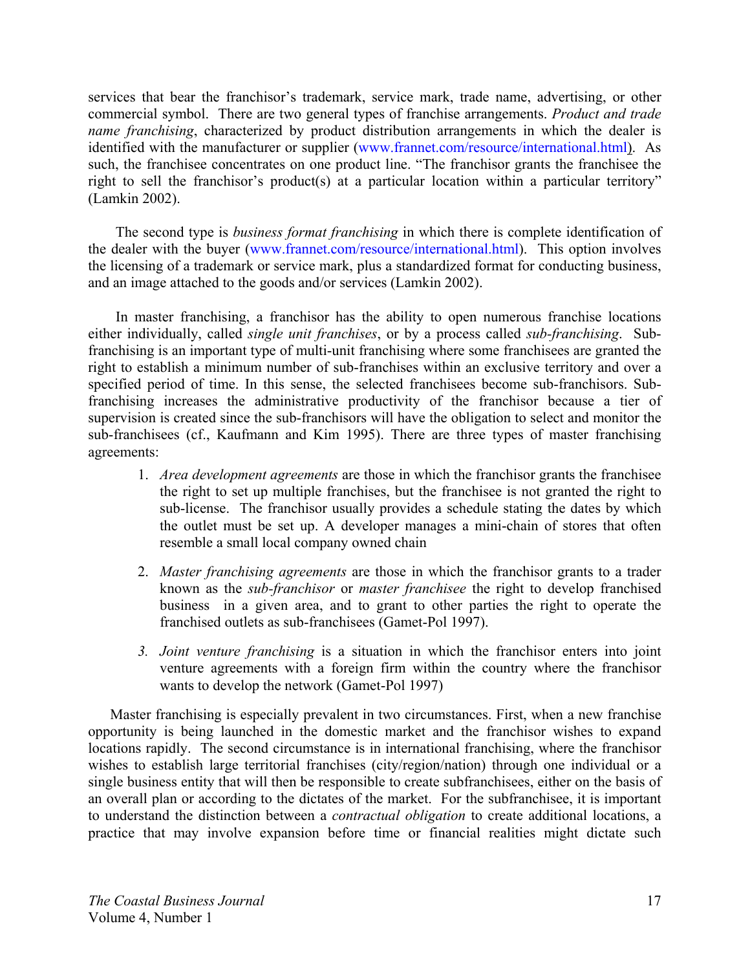services that bear the franchisor's trademark, service mark, trade name, advertising, or other commercial symbol. There are two general types of franchise arrangements. *Product and trade name franchising*, characterized by product distribution arrangements in which the dealer is identified with the manufacturer or supplier (www.frannet.com/resource/international.html). As such, the franchisee concentrates on one product line. "The franchisor grants the franchisee the right to sell the franchisor's product(s) at a particular location within a particular territory" (Lamkin 2002).

The second type is *business format franchising* in which there is complete identification of the dealer with the buyer (www.frannet.com/resource/international.html). This option involves the licensing of a trademark or service mark, plus a standardized format for conducting business, and an image attached to the goods and/or services (Lamkin 2002).

In master franchising, a franchisor has the ability to open numerous franchise locations either individually, called *single unit franchises*, or by a process called *sub-franchising*. Subfranchising is an important type of multi-unit franchising where some franchisees are granted the right to establish a minimum number of sub-franchises within an exclusive territory and over a specified period of time. In this sense, the selected franchisees become sub-franchisors. Subfranchising increases the administrative productivity of the franchisor because a tier of supervision is created since the sub-franchisors will have the obligation to select and monitor the sub-franchisees (cf., Kaufmann and Kim 1995). There are three types of master franchising agreements:

- 1. *Area development agreements* are those in which the franchisor grants the franchisee the right to set up multiple franchises, but the franchisee is not granted the right to sub-license. The franchisor usually provides a schedule stating the dates by which the outlet must be set up. A developer manages a mini-chain of stores that often resemble a small local company owned chain
- 2. *Master franchising agreements* are those in which the franchisor grants to a trader known as the *sub-franchisor* or *master franchisee* the right to develop franchised business in a given area, and to grant to other parties the right to operate the franchised outlets as sub-franchisees (Gamet-Pol 1997).
- *3. Joint venture franchising* is a situation in which the franchisor enters into joint venture agreements with a foreign firm within the country where the franchisor wants to develop the network (Gamet-Pol 1997)

Master franchising is especially prevalent in two circumstances. First, when a new franchise opportunity is being launched in the domestic market and the franchisor wishes to expand locations rapidly. The second circumstance is in international franchising, where the franchisor wishes to establish large territorial franchises (city/region/nation) through one individual or a single business entity that will then be responsible to create subfranchisees, either on the basis of an overall plan or according to the dictates of the market. For the subfranchisee, it is important to understand the distinction between a *contractual obligation* to create additional locations, a practice that may involve expansion before time or financial realities might dictate such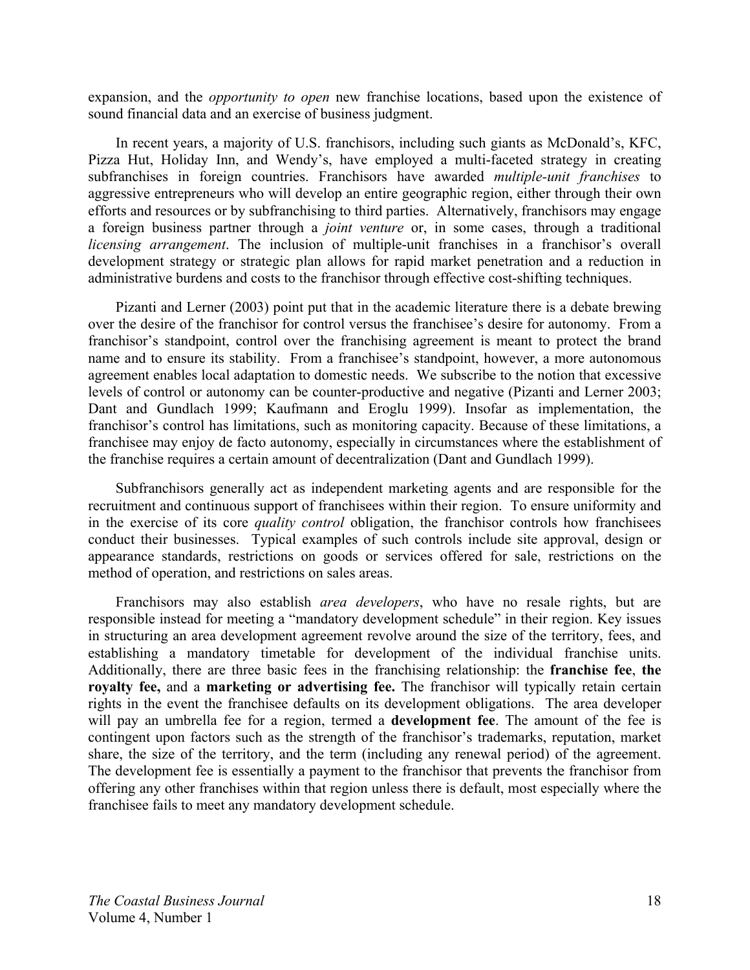expansion, and the *opportunity to open* new franchise locations, based upon the existence of sound financial data and an exercise of business judgment.

In recent years, a majority of U.S. franchisors, including such giants as McDonald's, KFC, Pizza Hut, Holiday Inn, and Wendy's, have employed a multi-faceted strategy in creating subfranchises in foreign countries. Franchisors have awarded *multiple-unit franchises* to aggressive entrepreneurs who will develop an entire geographic region, either through their own efforts and resources or by subfranchising to third parties. Alternatively, franchisors may engage a foreign business partner through a *joint venture* or, in some cases, through a traditional *licensing arrangement*. The inclusion of multiple-unit franchises in a franchisor's overall development strategy or strategic plan allows for rapid market penetration and a reduction in administrative burdens and costs to the franchisor through effective cost-shifting techniques.

Pizanti and Lerner (2003) point put that in the academic literature there is a debate brewing over the desire of the franchisor for control versus the franchisee's desire for autonomy. From a franchisor's standpoint, control over the franchising agreement is meant to protect the brand name and to ensure its stability. From a franchisee's standpoint, however, a more autonomous agreement enables local adaptation to domestic needs. We subscribe to the notion that excessive levels of control or autonomy can be counter-productive and negative (Pizanti and Lerner 2003; Dant and Gundlach 1999; Kaufmann and Eroglu 1999). Insofar as implementation, the franchisor's control has limitations, such as monitoring capacity. Because of these limitations, a franchisee may enjoy de facto autonomy, especially in circumstances where the establishment of the franchise requires a certain amount of decentralization (Dant and Gundlach 1999).

Subfranchisors generally act as independent marketing agents and are responsible for the recruitment and continuous support of franchisees within their region. To ensure uniformity and in the exercise of its core *quality control* obligation, the franchisor controls how franchisees conduct their businesses. Typical examples of such controls include site approval, design or appearance standards, restrictions on goods or services offered for sale, restrictions on the method of operation, and restrictions on sales areas.

Franchisors may also establish *area developers*, who have no resale rights, but are responsible instead for meeting a "mandatory development schedule" in their region. Key issues in structuring an area development agreement revolve around the size of the territory, fees, and establishing a mandatory timetable for development of the individual franchise units. Additionally, there are three basic fees in the franchising relationship: the **franchise fee**, **the royalty fee,** and a **marketing or advertising fee.** The franchisor will typically retain certain rights in the event the franchisee defaults on its development obligations. The area developer will pay an umbrella fee for a region, termed a **development fee**. The amount of the fee is contingent upon factors such as the strength of the franchisor's trademarks, reputation, market share, the size of the territory, and the term (including any renewal period) of the agreement. The development fee is essentially a payment to the franchisor that prevents the franchisor from offering any other franchises within that region unless there is default, most especially where the franchisee fails to meet any mandatory development schedule.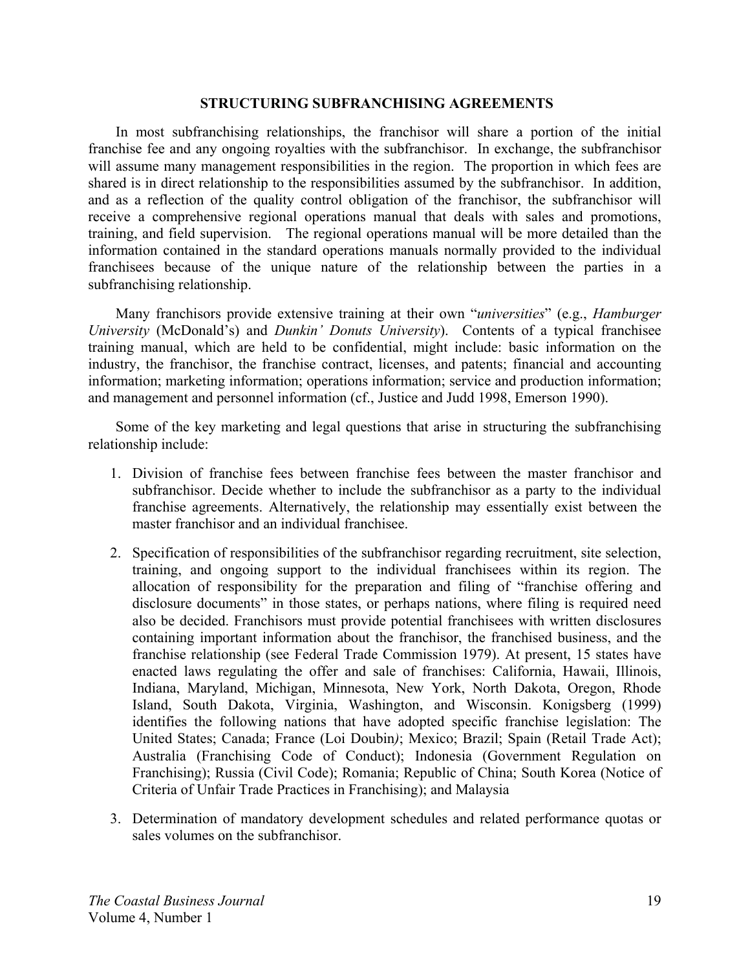#### **STRUCTURING SUBFRANCHISING AGREEMENTS**

In most subfranchising relationships, the franchisor will share a portion of the initial franchise fee and any ongoing royalties with the subfranchisor. In exchange, the subfranchisor will assume many management responsibilities in the region. The proportion in which fees are shared is in direct relationship to the responsibilities assumed by the subfranchisor. In addition, and as a reflection of the quality control obligation of the franchisor, the subfranchisor will receive a comprehensive regional operations manual that deals with sales and promotions, training, and field supervision. The regional operations manual will be more detailed than the information contained in the standard operations manuals normally provided to the individual franchisees because of the unique nature of the relationship between the parties in a subfranchising relationship.

Many franchisors provide extensive training at their own "*universities*" (e.g., *Hamburger University* (McDonald's) and *Dunkin' Donuts University*). Contents of a typical franchisee training manual, which are held to be confidential, might include: basic information on the industry, the franchisor, the franchise contract, licenses, and patents; financial and accounting information; marketing information; operations information; service and production information; and management and personnel information (cf., Justice and Judd 1998, Emerson 1990).

Some of the key marketing and legal questions that arise in structuring the subfranchising relationship include:

- 1. Division of franchise fees between franchise fees between the master franchisor and subfranchisor. Decide whether to include the subfranchisor as a party to the individual franchise agreements. Alternatively, the relationship may essentially exist between the master franchisor and an individual franchisee.
- 2. Specification of responsibilities of the subfranchisor regarding recruitment, site selection, training, and ongoing support to the individual franchisees within its region. The allocation of responsibility for the preparation and filing of "franchise offering and disclosure documents" in those states, or perhaps nations, where filing is required need also be decided. Franchisors must provide potential franchisees with written disclosures containing important information about the franchisor, the franchised business, and the franchise relationship (see Federal Trade Commission 1979). At present, 15 states have enacted laws regulating the offer and sale of franchises: California, Hawaii, Illinois, Indiana, Maryland, Michigan, Minnesota, New York, North Dakota, Oregon, Rhode Island, South Dakota, Virginia, Washington, and Wisconsin. Konigsberg (1999) identifies the following nations that have adopted specific franchise legislation: The United States; Canada; France (Loi Doubin*)*; Mexico; Brazil; Spain (Retail Trade Act); Australia (Franchising Code of Conduct); Indonesia (Government Regulation on Franchising); Russia (Civil Code); Romania; Republic of China; South Korea (Notice of Criteria of Unfair Trade Practices in Franchising); and Malaysia
- 3. Determination of mandatory development schedules and related performance quotas or sales volumes on the subfranchisor.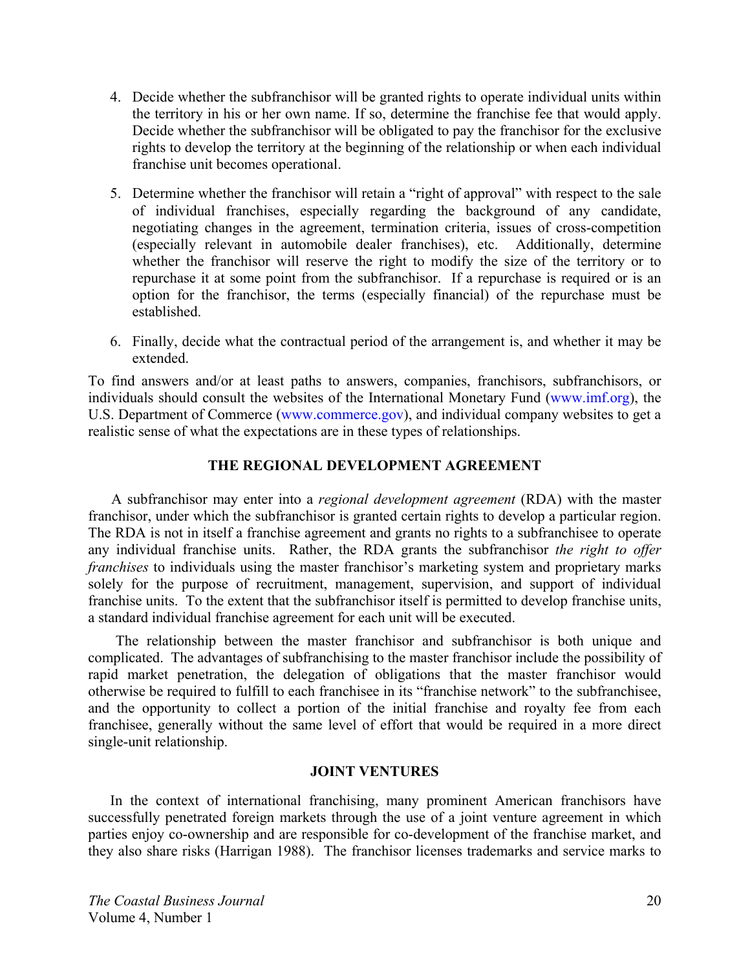- 4. Decide whether the subfranchisor will be granted rights to operate individual units within the territory in his or her own name. If so, determine the franchise fee that would apply. Decide whether the subfranchisor will be obligated to pay the franchisor for the exclusive rights to develop the territory at the beginning of the relationship or when each individual franchise unit becomes operational.
- 5. Determine whether the franchisor will retain a "right of approval" with respect to the sale of individual franchises, especially regarding the background of any candidate, negotiating changes in the agreement, termination criteria, issues of cross-competition (especially relevant in automobile dealer franchises), etc. Additionally, determine whether the franchisor will reserve the right to modify the size of the territory or to repurchase it at some point from the subfranchisor. If a repurchase is required or is an option for the franchisor, the terms (especially financial) of the repurchase must be established.
- 6. Finally, decide what the contractual period of the arrangement is, and whether it may be extended.

To find answers and/or at least paths to answers, companies, franchisors, subfranchisors, or individuals should consult the websites of the International Monetary Fund (www.imf.org), the U.S. Department of Commerce (www.commerce.gov), and individual company websites to get a realistic sense of what the expectations are in these types of relationships.

# **THE REGIONAL DEVELOPMENT AGREEMENT**

A subfranchisor may enter into a *regional development agreement* (RDA) with the master franchisor, under which the subfranchisor is granted certain rights to develop a particular region. The RDA is not in itself a franchise agreement and grants no rights to a subfranchisee to operate any individual franchise units. Rather, the RDA grants the subfranchisor *the right to offer franchises* to individuals using the master franchisor's marketing system and proprietary marks solely for the purpose of recruitment, management, supervision, and support of individual franchise units. To the extent that the subfranchisor itself is permitted to develop franchise units, a standard individual franchise agreement for each unit will be executed.

The relationship between the master franchisor and subfranchisor is both unique and complicated. The advantages of subfranchising to the master franchisor include the possibility of rapid market penetration, the delegation of obligations that the master franchisor would otherwise be required to fulfill to each franchisee in its "franchise network" to the subfranchisee, and the opportunity to collect a portion of the initial franchise and royalty fee from each franchisee, generally without the same level of effort that would be required in a more direct single-unit relationship.

# **JOINT VENTURES**

In the context of international franchising, many prominent American franchisors have successfully penetrated foreign markets through the use of a joint venture agreement in which parties enjoy co-ownership and are responsible for co-development of the franchise market, and they also share risks (Harrigan 1988). The franchisor licenses trademarks and service marks to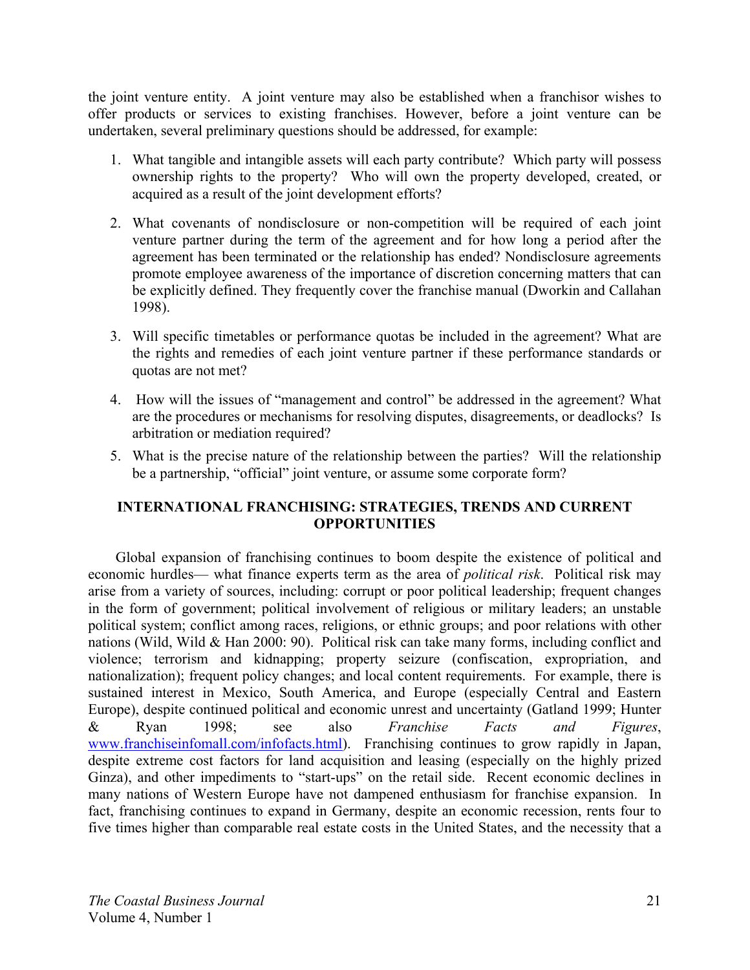the joint venture entity. A joint venture may also be established when a franchisor wishes to offer products or services to existing franchises. However, before a joint venture can be undertaken, several preliminary questions should be addressed, for example:

- 1. What tangible and intangible assets will each party contribute? Which party will possess ownership rights to the property? Who will own the property developed, created, or acquired as a result of the joint development efforts?
- 2. What covenants of nondisclosure or non-competition will be required of each joint venture partner during the term of the agreement and for how long a period after the agreement has been terminated or the relationship has ended? Nondisclosure agreements promote employee awareness of the importance of discretion concerning matters that can be explicitly defined. They frequently cover the franchise manual (Dworkin and Callahan 1998).
- 3. Will specific timetables or performance quotas be included in the agreement? What are the rights and remedies of each joint venture partner if these performance standards or quotas are not met?
- 4. How will the issues of "management and control" be addressed in the agreement? What are the procedures or mechanisms for resolving disputes, disagreements, or deadlocks? Is arbitration or mediation required?
- 5. What is the precise nature of the relationship between the parties? Will the relationship be a partnership, "official" joint venture, or assume some corporate form?

# **INTERNATIONAL FRANCHISING: STRATEGIES, TRENDS AND CURRENT OPPORTUNITIES**

Global expansion of franchising continues to boom despite the existence of political and economic hurdles— what finance experts term as the area of *political risk*. Political risk may arise from a variety of sources, including: corrupt or poor political leadership; frequent changes in the form of government; political involvement of religious or military leaders; an unstable political system; conflict among races, religions, or ethnic groups; and poor relations with other nations (Wild, Wild & Han 2000: 90). Political risk can take many forms, including conflict and violence; terrorism and kidnapping; property seizure (confiscation, expropriation, and nationalization); frequent policy changes; and local content requirements. For example, there is sustained interest in Mexico, South America, and Europe (especially Central and Eastern Europe), despite continued political and economic unrest and uncertainty (Gatland 1999; Hunter & Ryan 1998; see also *Franchise Facts and Figures*, www.franchiseinfomall.com/infofacts.html). Franchising continues to grow rapidly in Japan, despite extreme cost factors for land acquisition and leasing (especially on the highly prized Ginza), and other impediments to "start-ups" on the retail side. Recent economic declines in many nations of Western Europe have not dampened enthusiasm for franchise expansion. In fact, franchising continues to expand in Germany, despite an economic recession, rents four to five times higher than comparable real estate costs in the United States, and the necessity that a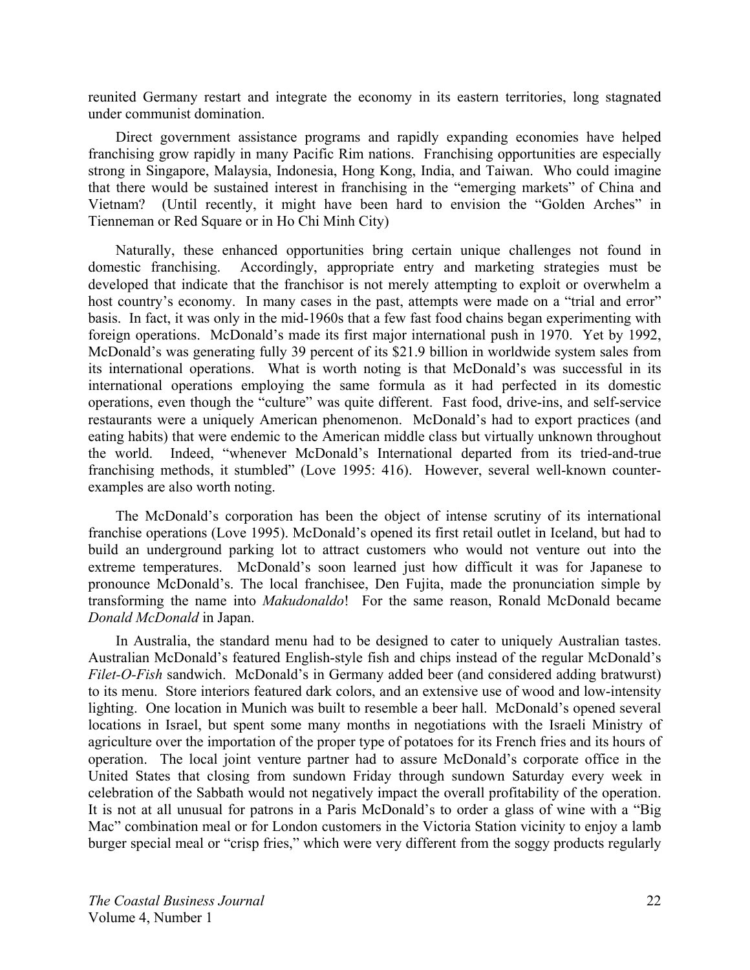reunited Germany restart and integrate the economy in its eastern territories, long stagnated under communist domination.

Direct government assistance programs and rapidly expanding economies have helped franchising grow rapidly in many Pacific Rim nations. Franchising opportunities are especially strong in Singapore, Malaysia, Indonesia, Hong Kong, India, and Taiwan. Who could imagine that there would be sustained interest in franchising in the "emerging markets" of China and Vietnam? (Until recently, it might have been hard to envision the "Golden Arches" in Tienneman or Red Square or in Ho Chi Minh City)

Naturally, these enhanced opportunities bring certain unique challenges not found in domestic franchising. Accordingly, appropriate entry and marketing strategies must be developed that indicate that the franchisor is not merely attempting to exploit or overwhelm a host country's economy. In many cases in the past, attempts were made on a "trial and error" basis. In fact, it was only in the mid-1960s that a few fast food chains began experimenting with foreign operations. McDonald's made its first major international push in 1970. Yet by 1992, McDonald's was generating fully 39 percent of its \$21.9 billion in worldwide system sales from its international operations. What is worth noting is that McDonald's was successful in its international operations employing the same formula as it had perfected in its domestic operations, even though the "culture" was quite different. Fast food, drive-ins, and self-service restaurants were a uniquely American phenomenon. McDonald's had to export practices (and eating habits) that were endemic to the American middle class but virtually unknown throughout the world. Indeed, "whenever McDonald's International departed from its tried-and-true franchising methods, it stumbled" (Love 1995: 416). However, several well-known counterexamples are also worth noting.

The McDonald's corporation has been the object of intense scrutiny of its international franchise operations (Love 1995). McDonald's opened its first retail outlet in Iceland, but had to build an underground parking lot to attract customers who would not venture out into the extreme temperatures. McDonald's soon learned just how difficult it was for Japanese to pronounce McDonald's. The local franchisee, Den Fujita, made the pronunciation simple by transforming the name into *Makudonaldo*! For the same reason, Ronald McDonald became *Donald McDonald* in Japan.

In Australia, the standard menu had to be designed to cater to uniquely Australian tastes. Australian McDonald's featured English-style fish and chips instead of the regular McDonald's *Filet-O-Fish* sandwich. McDonald's in Germany added beer (and considered adding bratwurst) to its menu. Store interiors featured dark colors, and an extensive use of wood and low-intensity lighting. One location in Munich was built to resemble a beer hall. McDonald's opened several locations in Israel, but spent some many months in negotiations with the Israeli Ministry of agriculture over the importation of the proper type of potatoes for its French fries and its hours of operation. The local joint venture partner had to assure McDonald's corporate office in the United States that closing from sundown Friday through sundown Saturday every week in celebration of the Sabbath would not negatively impact the overall profitability of the operation. It is not at all unusual for patrons in a Paris McDonald's to order a glass of wine with a "Big Mac" combination meal or for London customers in the Victoria Station vicinity to enjoy a lamb burger special meal or "crisp fries," which were very different from the soggy products regularly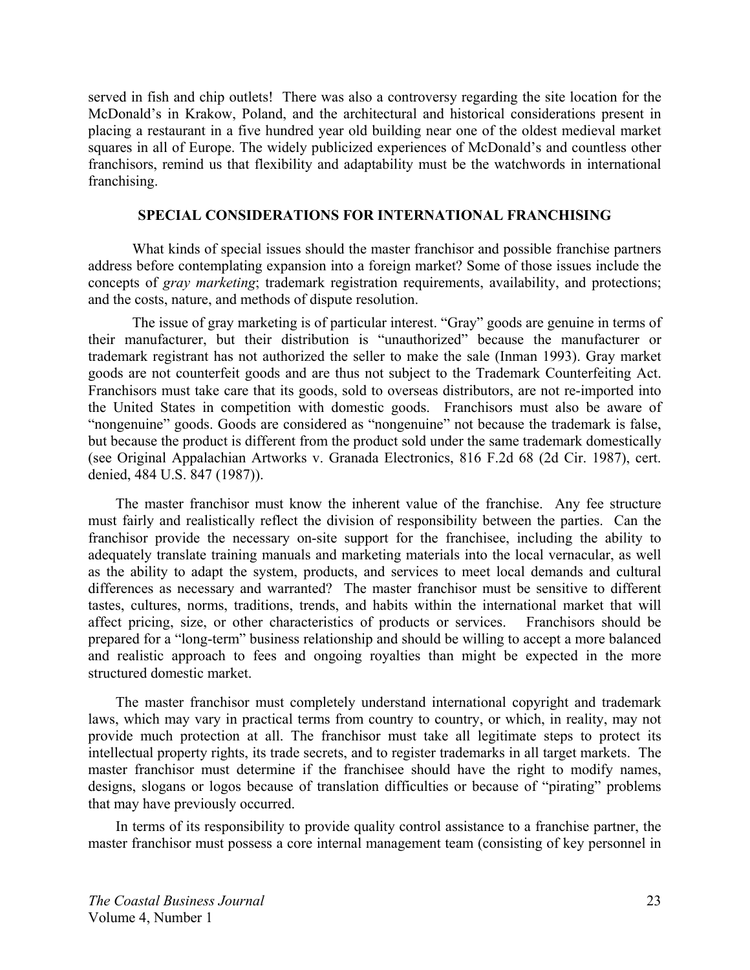served in fish and chip outlets! There was also a controversy regarding the site location for the McDonald's in Krakow, Poland, and the architectural and historical considerations present in placing a restaurant in a five hundred year old building near one of the oldest medieval market squares in all of Europe. The widely publicized experiences of McDonald's and countless other franchisors, remind us that flexibility and adaptability must be the watchwords in international franchising.

## **SPECIAL CONSIDERATIONS FOR INTERNATIONAL FRANCHISING**

What kinds of special issues should the master franchisor and possible franchise partners address before contemplating expansion into a foreign market? Some of those issues include the concepts of *gray marketing*; trademark registration requirements, availability, and protections; and the costs, nature, and methods of dispute resolution.

The issue of gray marketing is of particular interest. "Gray" goods are genuine in terms of their manufacturer, but their distribution is "unauthorized" because the manufacturer or trademark registrant has not authorized the seller to make the sale (Inman 1993). Gray market goods are not counterfeit goods and are thus not subject to the Trademark Counterfeiting Act. Franchisors must take care that its goods, sold to overseas distributors, are not re-imported into the United States in competition with domestic goods. Franchisors must also be aware of "nongenuine" goods. Goods are considered as "nongenuine" not because the trademark is false, but because the product is different from the product sold under the same trademark domestically (see Original Appalachian Artworks v. Granada Electronics, 816 F.2d 68 (2d Cir. 1987), cert. denied, 484 U.S. 847 (1987)).

The master franchisor must know the inherent value of the franchise. Any fee structure must fairly and realistically reflect the division of responsibility between the parties. Can the franchisor provide the necessary on-site support for the franchisee, including the ability to adequately translate training manuals and marketing materials into the local vernacular, as well as the ability to adapt the system, products, and services to meet local demands and cultural differences as necessary and warranted? The master franchisor must be sensitive to different tastes, cultures, norms, traditions, trends, and habits within the international market that will affect pricing, size, or other characteristics of products or services. Franchisors should be prepared for a "long-term" business relationship and should be willing to accept a more balanced and realistic approach to fees and ongoing royalties than might be expected in the more structured domestic market.

The master franchisor must completely understand international copyright and trademark laws, which may vary in practical terms from country to country, or which, in reality, may not provide much protection at all. The franchisor must take all legitimate steps to protect its intellectual property rights, its trade secrets, and to register trademarks in all target markets. The master franchisor must determine if the franchisee should have the right to modify names, designs, slogans or logos because of translation difficulties or because of "pirating" problems that may have previously occurred.

In terms of its responsibility to provide quality control assistance to a franchise partner, the master franchisor must possess a core internal management team (consisting of key personnel in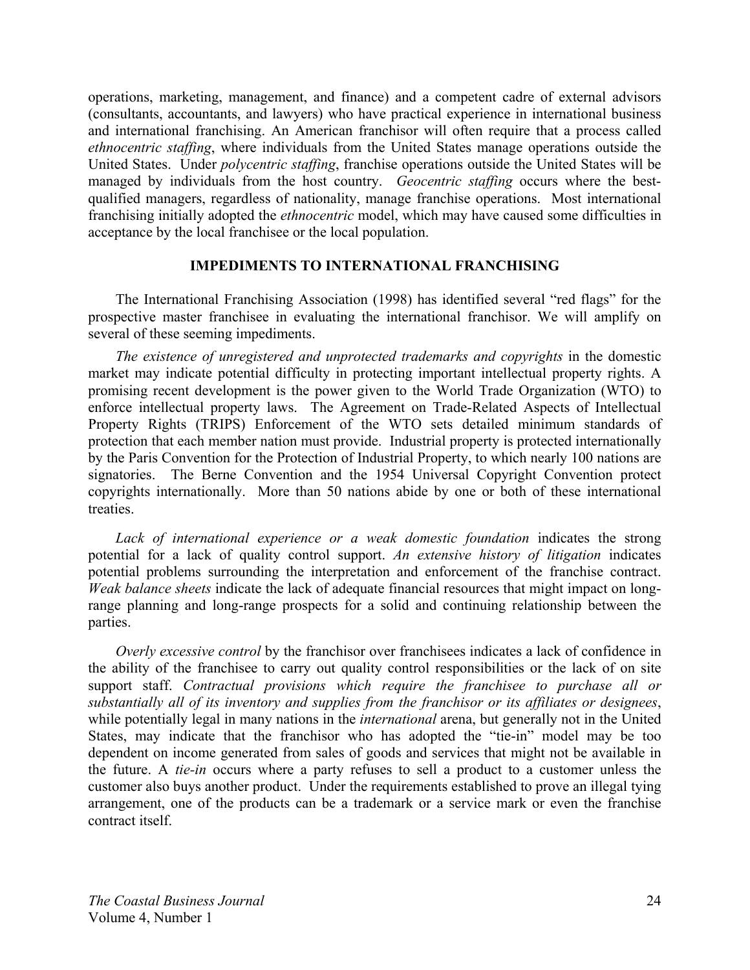operations, marketing, management, and finance) and a competent cadre of external advisors (consultants, accountants, and lawyers) who have practical experience in international business and international franchising. An American franchisor will often require that a process called *ethnocentric staffing*, where individuals from the United States manage operations outside the United States. Under *polycentric staffing*, franchise operations outside the United States will be managed by individuals from the host country. *Geocentric staffing* occurs where the bestqualified managers, regardless of nationality, manage franchise operations. Most international franchising initially adopted the *ethnocentric* model, which may have caused some difficulties in acceptance by the local franchisee or the local population.

#### **IMPEDIMENTS TO INTERNATIONAL FRANCHISING**

The International Franchising Association (1998) has identified several "red flags" for the prospective master franchisee in evaluating the international franchisor. We will amplify on several of these seeming impediments.

*The existence of unregistered and unprotected trademarks and copyrights* in the domestic market may indicate potential difficulty in protecting important intellectual property rights. A promising recent development is the power given to the World Trade Organization (WTO) to enforce intellectual property laws. The Agreement on Trade-Related Aspects of Intellectual Property Rights (TRIPS) Enforcement of the WTO sets detailed minimum standards of protection that each member nation must provide. Industrial property is protected internationally by the Paris Convention for the Protection of Industrial Property, to which nearly 100 nations are signatories. The Berne Convention and the 1954 Universal Copyright Convention protect copyrights internationally. More than 50 nations abide by one or both of these international treaties.

*Lack of international experience or a weak domestic foundation* indicates the strong potential for a lack of quality control support. *An extensive history of litigation* indicates potential problems surrounding the interpretation and enforcement of the franchise contract. *Weak balance sheets* indicate the lack of adequate financial resources that might impact on longrange planning and long-range prospects for a solid and continuing relationship between the parties.

*Overly excessive control* by the franchisor over franchisees indicates a lack of confidence in the ability of the franchisee to carry out quality control responsibilities or the lack of on site support staff. *Contractual provisions which require the franchisee to purchase all or substantially all of its inventory and supplies from the franchisor or its affiliates or designees*, while potentially legal in many nations in the *international* arena, but generally not in the United States, may indicate that the franchisor who has adopted the "tie-in" model may be too dependent on income generated from sales of goods and services that might not be available in the future. A *tie-in* occurs where a party refuses to sell a product to a customer unless the customer also buys another product. Under the requirements established to prove an illegal tying arrangement, one of the products can be a trademark or a service mark or even the franchise contract itself.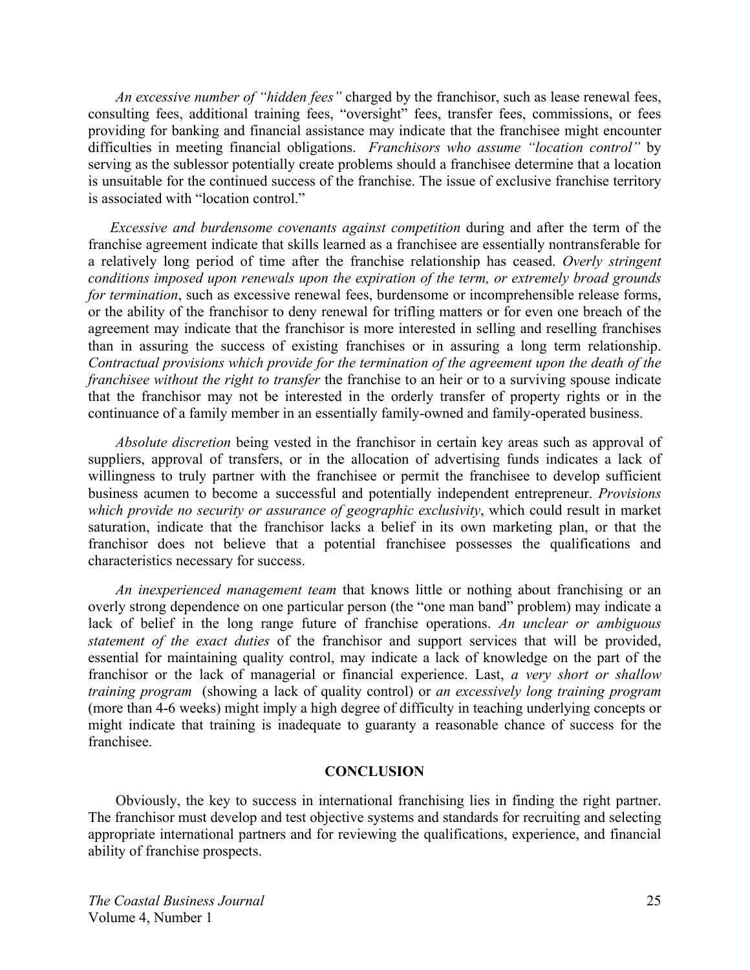*An excessive number of "hidden fees"* charged by the franchisor, such as lease renewal fees, consulting fees, additional training fees, "oversight" fees, transfer fees, commissions, or fees providing for banking and financial assistance may indicate that the franchisee might encounter difficulties in meeting financial obligations. *Franchisors who assume "location control"* by serving as the sublessor potentially create problems should a franchisee determine that a location is unsuitable for the continued success of the franchise. The issue of exclusive franchise territory is associated with "location control."

*Excessive and burdensome covenants against competition* during and after the term of the franchise agreement indicate that skills learned as a franchisee are essentially nontransferable for a relatively long period of time after the franchise relationship has ceased. *Overly stringent conditions imposed upon renewals upon the expiration of the term, or extremely broad grounds for termination*, such as excessive renewal fees, burdensome or incomprehensible release forms, or the ability of the franchisor to deny renewal for trifling matters or for even one breach of the agreement may indicate that the franchisor is more interested in selling and reselling franchises than in assuring the success of existing franchises or in assuring a long term relationship. *Contractual provisions which provide for the termination of the agreement upon the death of the franchisee without the right to transfer* the franchise to an heir or to a surviving spouse indicate that the franchisor may not be interested in the orderly transfer of property rights or in the continuance of a family member in an essentially family-owned and family-operated business.

*Absolute discretion* being vested in the franchisor in certain key areas such as approval of suppliers, approval of transfers, or in the allocation of advertising funds indicates a lack of willingness to truly partner with the franchisee or permit the franchisee to develop sufficient business acumen to become a successful and potentially independent entrepreneur. *Provisions which provide no security or assurance of geographic exclusivity*, which could result in market saturation, indicate that the franchisor lacks a belief in its own marketing plan, or that the franchisor does not believe that a potential franchisee possesses the qualifications and characteristics necessary for success.

*An inexperienced management team* that knows little or nothing about franchising or an overly strong dependence on one particular person (the "one man band" problem) may indicate a lack of belief in the long range future of franchise operations. *An unclear or ambiguous statement of the exact duties* of the franchisor and support services that will be provided, essential for maintaining quality control, may indicate a lack of knowledge on the part of the franchisor or the lack of managerial or financial experience. Last, *a very short or shallow training program* (showing a lack of quality control) or *an excessively long training program*  (more than 4-6 weeks) might imply a high degree of difficulty in teaching underlying concepts or might indicate that training is inadequate to guaranty a reasonable chance of success for the franchisee.

#### **CONCLUSION**

Obviously, the key to success in international franchising lies in finding the right partner. The franchisor must develop and test objective systems and standards for recruiting and selecting appropriate international partners and for reviewing the qualifications, experience, and financial ability of franchise prospects.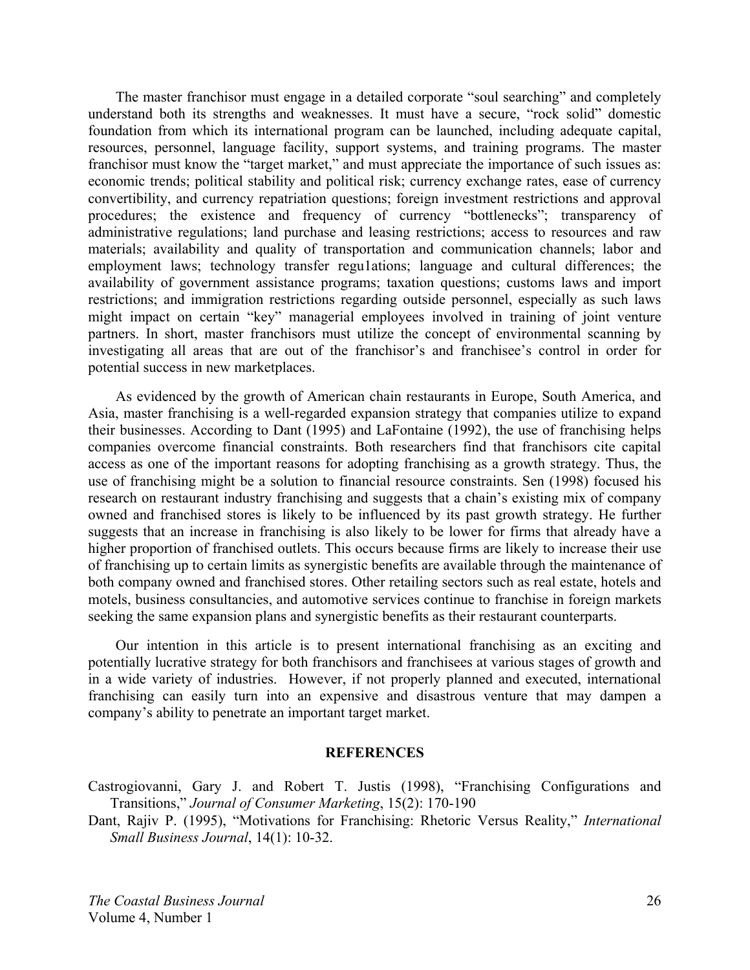The master franchisor must engage in a detailed corporate "soul searching" and completely understand both its strengths and weaknesses. It must have a secure, "rock solid" domestic foundation from which its international program can be launched, including adequate capital, resources, personnel, language facility, support systems, and training programs. The master franchisor must know the "target market," and must appreciate the importance of such issues as: economic trends; political stability and political risk; currency exchange rates, ease of currency convertibility, and currency repatriation questions; foreign investment restrictions and approval procedures; the existence and frequency of currency "bottlenecks"; transparency of administrative regulations; land purchase and leasing restrictions; access to resources and raw materials; availability and quality of transportation and communication channels; labor and employment laws; technology transfer regu1ations; language and cultural differences; the availability of government assistance programs; taxation questions; customs laws and import restrictions; and immigration restrictions regarding outside personnel, especially as such laws might impact on certain "key" managerial employees involved in training of joint venture partners. In short, master franchisors must utilize the concept of environmental scanning by investigating all areas that are out of the franchisor's and franchisee's control in order for potential success in new marketplaces.

As evidenced by the growth of American chain restaurants in Europe, South America, and Asia, master franchising is a well-regarded expansion strategy that companies utilize to expand their businesses. According to Dant (1995) and LaFontaine (1992), the use of franchising helps companies overcome financial constraints. Both researchers find that franchisors cite capital access as one of the important reasons for adopting franchising as a growth strategy. Thus, the use of franchising might be a solution to financial resource constraints. Sen (1998) focused his research on restaurant industry franchising and suggests that a chain's existing mix of company owned and franchised stores is likely to be influenced by its past growth strategy. He further suggests that an increase in franchising is also likely to be lower for firms that already have a higher proportion of franchised outlets. This occurs because firms are likely to increase their use of franchising up to certain limits as synergistic benefits are available through the maintenance of both company owned and franchised stores. Other retailing sectors such as real estate, hotels and motels, business consultancies, and automotive services continue to franchise in foreign markets seeking the same expansion plans and synergistic benefits as their restaurant counterparts.

Our intention in this article is to present international franchising as an exciting and potentially lucrative strategy for both franchisors and franchisees at various stages of growth and in a wide variety of industries. However, if not properly planned and executed, international franchising can easily turn into an expensive and disastrous venture that may dampen a company's ability to penetrate an important target market.

#### **REFERENCES**

Castrogiovanni, Gary J. and Robert T. Justis (1998), "Franchising Configurations and Transitions," *Journal of Consumer Marketing*, 15(2): 170-190

Dant, Rajiv P. (1995), "Motivations for Franchising: Rhetoric Versus Reality," *International Small Business Journal*, 14(1): 10-32.

*The Coastal Business Journal*  Volume 4, Number 1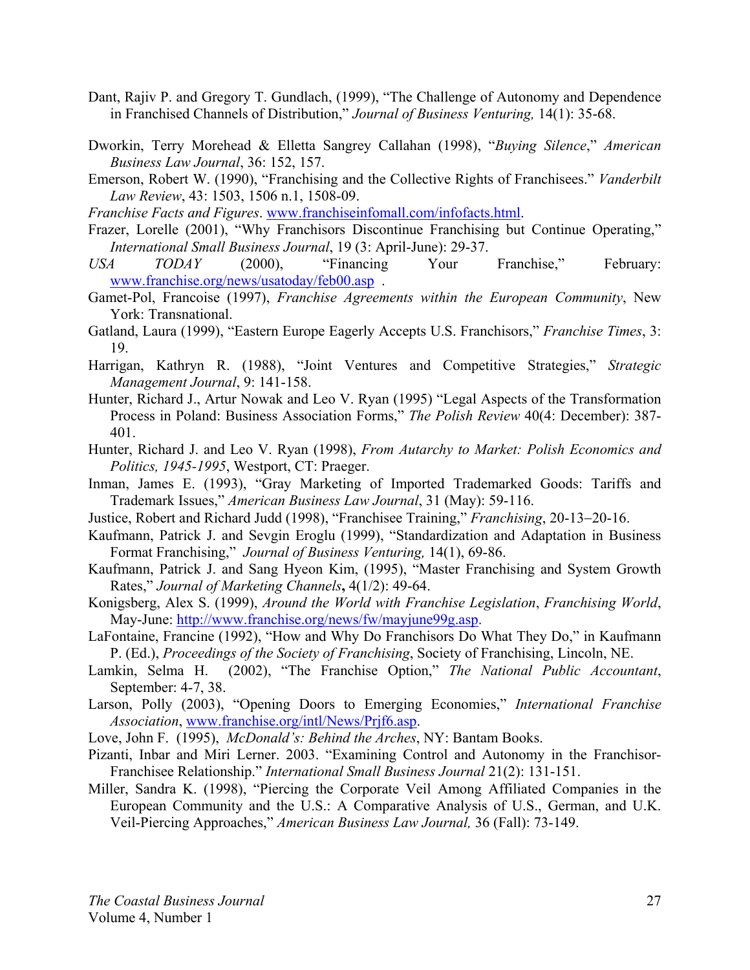- Dant, Rajiv P. and Gregory T. Gundlach, (1999), "The Challenge of Autonomy and Dependence in Franchised Channels of Distribution," *Journal of Business Venturing,* 14(1): 35-68.
- Dworkin, Terry Morehead & Elletta Sangrey Callahan (1998), "*Buying Silence*," *American Business Law Journal*, 36: 152, 157.
- Emerson, Robert W. (1990), "Franchising and the Collective Rights of Franchisees." *Vanderbilt Law Review*, 43: 1503, 1506 n.1, 1508-09.
- *Franchise Facts and Figures*. www.franchiseinfomall.com/infofacts.html.
- Frazer, Lorelle (2001), "Why Franchisors Discontinue Franchising but Continue Operating," *International Small Business Journal*, 19 (3: April-June): 29-37.
- *USA TODAY* (2000), "Financing Your Franchise," February: www.franchise.org/news/usatoday/feb00.asp .
- Gamet-Pol, Francoise (1997), *Franchise Agreements within the European Community*, New York: Transnational.
- Gatland, Laura (1999), "Eastern Europe Eagerly Accepts U.S. Franchisors," *Franchise Times*, 3: 19.
- Harrigan, Kathryn R. (1988), "Joint Ventures and Competitive Strategies," *Strategic Management Journal*, 9: 141-158.
- Hunter, Richard J., Artur Nowak and Leo V. Ryan (1995) "Legal Aspects of the Transformation Process in Poland: Business Association Forms," *The Polish Review* 40(4: December): 387- 401.
- Hunter, Richard J. and Leo V. Ryan (1998), *From Autarchy to Market: Polish Economics and Politics, 1945-1995*, Westport, CT: Praeger.
- Inman, James E. (1993), "Gray Marketing of Imported Trademarked Goods: Tariffs and Trademark Issues," *American Business Law Journal*, 31 (May): 59-116.
- Justice, Robert and Richard Judd (1998), "Franchisee Training," *Franchising*, 20-13−20-16.
- Kaufmann, Patrick J. and Sevgin Eroglu (1999), "Standardization and Adaptation in Business Format Franchising," *Journal of Business Venturing,* 14(1), 69-86.
- Kaufmann, Patrick J. and Sang Hyeon Kim, (1995), "Master Franchising and System Growth Rates," *Journal of Marketing Channels***,** 4(1/2): 49-64.
- Konigsberg, Alex S. (1999), *Around the World with Franchise Legislation*, *Franchising World*, May-June: http://www.franchise.org/news/fw/mayjune99g.asp.
- LaFontaine, Francine (1992), "How and Why Do Franchisors Do What They Do," in Kaufmann P. (Ed.), *Proceedings of the Society of Franchising*, Society of Franchising, Lincoln, NE.
- Lamkin, Selma H. (2002), "The Franchise Option," *The National Public Accountant*, September: 4-7, 38.
- Larson, Polly (2003), "Opening Doors to Emerging Economies," *International Franchise Association*, www.franchise.org/intl/News/Prjf6.asp.
- Love, John F. (1995), *McDonald's: Behind the Arches*, NY: Bantam Books.
- Pizanti, Inbar and Miri Lerner. 2003. "Examining Control and Autonomy in the Franchisor-Franchisee Relationship." *International Small Business Journal* 21(2): 131-151.
- Miller, Sandra K. (1998), "Piercing the Corporate Veil Among Affiliated Companies in the European Community and the U.S.: A Comparative Analysis of U.S., German, and U.K. Veil-Piercing Approaches," *American Business Law Journal,* 36 (Fall): 73-149.